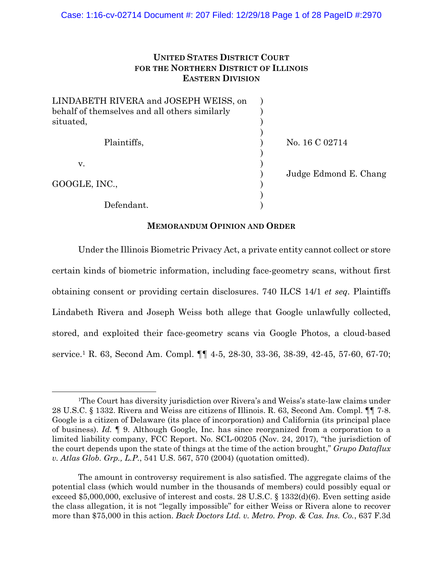# **UNITED STATES DISTRICT COURT FOR THE NORTHERN DISTRICT OF ILLINOIS EASTERN DIVISION**

| LINDABETH RIVERA and JOSEPH WEISS, on         |                       |
|-----------------------------------------------|-----------------------|
| behalf of themselves and all others similarly |                       |
| situated,                                     |                       |
|                                               |                       |
| Plaintiffs,                                   | No. 16 C 02714        |
|                                               |                       |
| V.                                            |                       |
|                                               | Judge Edmond E. Chang |
| GOOGLE, INC.,                                 |                       |
|                                               |                       |
| Defendant.                                    |                       |

## **MEMORANDUM OPINION AND ORDER**

Under the Illinois Biometric Privacy Act, a private entity cannot collect or store certain kinds of biometric information, including face-geometry scans, without first obtaining consent or providing certain disclosures. 740 ILCS 14/1 *et seq*. Plaintiffs Lindabeth Rivera and Joseph Weiss both allege that Google unlawfully collected, stored, and exploited their face-geometry scans via Google Photos, a cloud-based service.1 R. 63, Second Am. Compl. ¶¶ 4-5, 28-30, 33-36, 38-39, 42-45, 57-60, 67-70;

<sup>&</sup>lt;sup>1</sup>The Court has diversity jurisdiction over Rivera's and Weiss's state-law claims under 28 U.S.C. § 1332. Rivera and Weiss are citizens of Illinois. R. 63, Second Am. Compl. ¶¶ 7-8. Google is a citizen of Delaware (its place of incorporation) and California (its principal place of business). *Id.* ¶ 9. Although Google, Inc. has since reorganized from a corporation to a limited liability company, FCC Report. No. SCL-00205 (Nov. 24, 2017), "the jurisdiction of the court depends upon the state of things at the time of the action brought," *Grupo Dataflux v. Atlas Glob. Grp., L.P.*, 541 U.S. 567, 570 (2004) (quotation omitted).

The amount in controversy requirement is also satisfied. The aggregate claims of the potential class (which would number in the thousands of members) could possibly equal or exceed \$5,000,000, exclusive of interest and costs. 28 U.S.C. § 1332(d)(6). Even setting aside the class allegation, it is not "legally impossible" for either Weiss or Rivera alone to recover more than \$75,000 in this action. *Back Doctors Ltd. v. Metro. Prop. & Cas. Ins. Co.*, 637 F.3d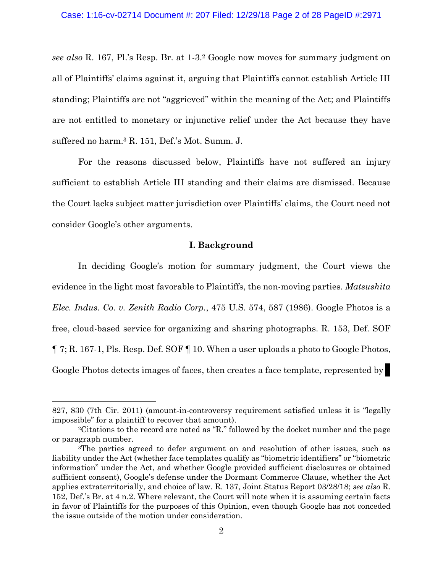*see also* R. 167, Pl.'s Resp. Br. at 1-3.2 Google now moves for summary judgment on all of Plaintiffs' claims against it, arguing that Plaintiffs cannot establish Article III standing; Plaintiffs are not "aggrieved" within the meaning of the Act; and Plaintiffs are not entitled to monetary or injunctive relief under the Act because they have suffered no harm.3 R. 151, Def.'s Mot. Summ. J.

For the reasons discussed below, Plaintiffs have not suffered an injury sufficient to establish Article III standing and their claims are dismissed. Because the Court lacks subject matter jurisdiction over Plaintiffs' claims, the Court need not consider Google's other arguments.

## **I. Background**

In deciding Google's motion for summary judgment, the Court views the evidence in the light most favorable to Plaintiffs, the non-moving parties. *Matsushita Elec. Indus. Co. v. Zenith Radio Corp.*, 475 U.S. 574, 587 (1986). Google Photos is a free, cloud-based service for organizing and sharing photographs. R. 153, Def. SOF ¶ 7; R. 167-1, Pls. Resp. Def. SOF ¶ 10. When a user uploads a photo to Google Photos, Google Photos detects images of faces, then creates a face template, represented by

 $\overline{a}$ 

<sup>827, 830 (7</sup>th Cir. 2011) (amount-in-controversy requirement satisfied unless it is "legally impossible" for a plaintiff to recover that amount).

<sup>2</sup>Citations to the record are noted as "R." followed by the docket number and the page or paragraph number.

<sup>3</sup>The parties agreed to defer argument on and resolution of other issues, such as liability under the Act (whether face templates qualify as "biometric identifiers" or "biometric information" under the Act, and whether Google provided sufficient disclosures or obtained sufficient consent), Google's defense under the Dormant Commerce Clause, whether the Act applies extraterritorially, and choice of law. R. 137, Joint Status Report 03/28/18; *see also* R. 152, Def.'s Br. at 4 n.2. Where relevant, the Court will note when it is assuming certain facts in favor of Plaintiffs for the purposes of this Opinion, even though Google has not conceded the issue outside of the motion under consideration.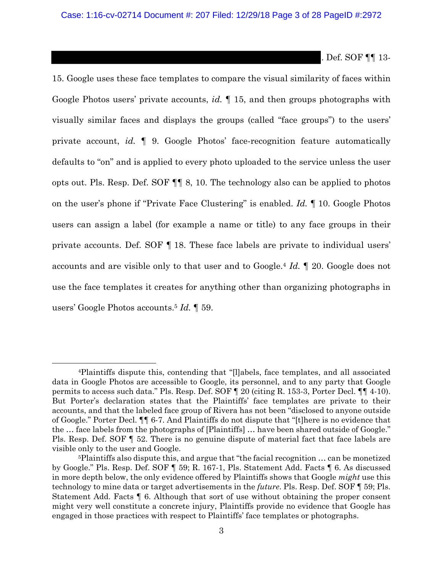. Def. SOF ¶¶ 13-

15. Google uses these face templates to compare the visual similarity of faces within Google Photos users' private accounts, *id.* ¶ 15, and then groups photographs with visually similar faces and displays the groups (called "face groups") to the users' private account, *id.* ¶ 9. Google Photos' face-recognition feature automatically defaults to "on" and is applied to every photo uploaded to the service unless the user opts out. Pls. Resp. Def. SOF ¶¶ 8, 10. The technology also can be applied to photos on the user's phone if "Private Face Clustering" is enabled. *Id.* ¶ 10. Google Photos users can assign a label (for example a name or title) to any face groups in their private accounts. Def. SOF ¶ 18. These face labels are private to individual users' accounts and are visible only to that user and to Google.4 *Id.* ¶ 20. Google does not use the face templates it creates for anything other than organizing photographs in users' Google Photos accounts.5 *Id.* ¶ 59.

 <sup>4</sup>Plaintiffs dispute this, contending that "[l]abels, face templates, and all associated data in Google Photos are accessible to Google, its personnel, and to any party that Google permits to access such data." Pls. Resp. Def. SOF ¶ 20 (citing R. 153-3, Porter Decl. ¶¶ 4-10). But Porter's declaration states that the Plaintiffs' face templates are private to their accounts, and that the labeled face group of Rivera has not been "disclosed to anyone outside of Google." Porter Decl. ¶¶ 6-7. And Plaintiffs do not dispute that "[t]here is no evidence that the … face labels from the photographs of [Plaintiffs] … have been shared outside of Google." Pls. Resp. Def. SOF ¶ 52. There is no genuine dispute of material fact that face labels are visible only to the user and Google.

<sup>5</sup>Plaintiffs also dispute this, and argue that "the facial recognition … can be monetized by Google." Pls. Resp. Def. SOF ¶ 59; R. 167-1, Pls. Statement Add. Facts ¶ 6. As discussed in more depth below, the only evidence offered by Plaintiffs shows that Google *might* use this technology to mine data or target advertisements in the *future*. Pls. Resp. Def. SOF ¶ 59; Pls. Statement Add. Facts ¶ 6. Although that sort of use without obtaining the proper consent might very well constitute a concrete injury, Plaintiffs provide no evidence that Google has engaged in those practices with respect to Plaintiffs' face templates or photographs.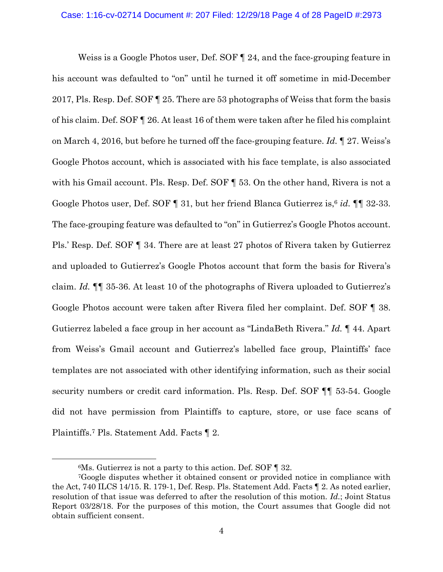Weiss is a Google Photos user, Def. SOF ¶ 24, and the face-grouping feature in his account was defaulted to "on" until he turned it off sometime in mid-December 2017, Pls. Resp. Def. SOF ¶ 25. There are 53 photographs of Weiss that form the basis of his claim. Def. SOF ¶ 26. At least 16 of them were taken after he filed his complaint on March 4, 2016, but before he turned off the face-grouping feature. *Id.* ¶ 27. Weiss's Google Photos account, which is associated with his face template, is also associated with his Gmail account. Pls. Resp. Def. SOF ¶ 53. On the other hand, Rivera is not a Google Photos user, Def. SOF ¶ 31, but her friend Blanca Gutierrez is,6 *id.* ¶¶ 32-33. The face-grouping feature was defaulted to "on" in Gutierrez's Google Photos account. Pls.' Resp. Def. SOF ¶ 34. There are at least 27 photos of Rivera taken by Gutierrez and uploaded to Gutierrez's Google Photos account that form the basis for Rivera's claim. *Id.* ¶¶ 35-36. At least 10 of the photographs of Rivera uploaded to Gutierrez's Google Photos account were taken after Rivera filed her complaint. Def. SOF ¶ 38. Gutierrez labeled a face group in her account as "LindaBeth Rivera." *Id.* ¶ 44. Apart from Weiss's Gmail account and Gutierrez's labelled face group, Plaintiffs' face templates are not associated with other identifying information, such as their social security numbers or credit card information. Pls. Resp. Def. SOF  $\P\P$  53-54. Google did not have permission from Plaintiffs to capture, store, or use face scans of Plaintiffs.7 Pls. Statement Add. Facts ¶ 2.

<sup>&</sup>lt;sup>6</sup>Ms. Gutierrez is not a party to this action. Def. SOF  $\P$  32.

<sup>7</sup>Google disputes whether it obtained consent or provided notice in compliance with the Act, 740 ILCS 14/15. R. 179-1, Def. Resp. Pls. Statement Add. Facts ¶ 2. As noted earlier, resolution of that issue was deferred to after the resolution of this motion. *Id.*; Joint Status Report 03/28/18. For the purposes of this motion, the Court assumes that Google did not obtain sufficient consent.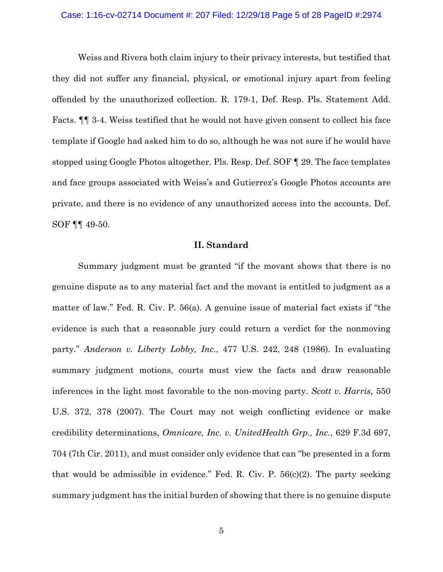#### Case: 1:16-cv-02714 Document #: 207 Filed: 12/29/18 Page 5 of 28 PageID #:2974

Weiss and Rivera both claim injury to their privacy interests, but testified that they did not suffer any financial, physical, or emotional injury apart from feeling offended by the unauthorized collection. R. 179-1, Def. Resp. Pls. Statement Add. Facts. ¶¶ 3-4. Weiss testified that he would not have given consent to collect his face template if Google had asked him to do so, although he was not sure if he would have stopped using Google Photos altogether. Pls. Resp. Def. SOF ¶ 29. The face templates and face groups associated with Weiss's and Gutierrez's Google Photos accounts are private, and there is no evidence of any unauthorized access into the accounts. Def. SOF ¶¶ 49-50.

## **II. Standard**

 Summary judgment must be granted "if the movant shows that there is no genuine dispute as to any material fact and the movant is entitled to judgment as a matter of law." Fed. R. Civ. P. 56(a). A genuine issue of material fact exists if "the evidence is such that a reasonable jury could return a verdict for the nonmoving party." *Anderson v. Liberty Lobby, Inc.*, 477 U.S. 242, 248 (1986). In evaluating summary judgment motions, courts must view the facts and draw reasonable inferences in the light most favorable to the non-moving party. *Scott v. Harris*, 550 U.S. 372, 378 (2007). The Court may not weigh conflicting evidence or make credibility determinations, *Omnicare, Inc. v. UnitedHealth Grp., Inc.*, 629 F.3d 697, 704 (7th Cir. 2011), and must consider only evidence that can "be presented in a form that would be admissible in evidence." Fed. R. Civ. P.  $56(c)(2)$ . The party seeking summary judgment has the initial burden of showing that there is no genuine dispute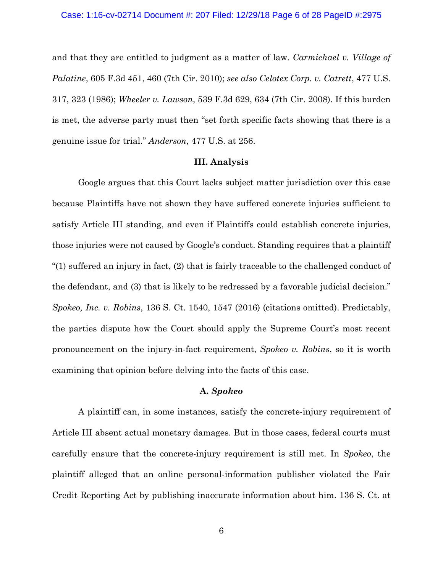and that they are entitled to judgment as a matter of law. *Carmichael v. Village of Palatine*, 605 F.3d 451, 460 (7th Cir. 2010); *see also Celotex Corp. v. Catrett*, 477 U.S. 317, 323 (1986); *Wheeler v. Lawson*, 539 F.3d 629, 634 (7th Cir. 2008). If this burden is met, the adverse party must then "set forth specific facts showing that there is a genuine issue for trial." *Anderson*, 477 U.S. at 256.

## **III. Analysis**

 Google argues that this Court lacks subject matter jurisdiction over this case because Plaintiffs have not shown they have suffered concrete injuries sufficient to satisfy Article III standing, and even if Plaintiffs could establish concrete injuries, those injuries were not caused by Google's conduct. Standing requires that a plaintiff "(1) suffered an injury in fact, (2) that is fairly traceable to the challenged conduct of the defendant, and (3) that is likely to be redressed by a favorable judicial decision." *Spokeo, Inc. v. Robins*, 136 S. Ct. 1540, 1547 (2016) (citations omitted). Predictably, the parties dispute how the Court should apply the Supreme Court's most recent pronouncement on the injury-in-fact requirement, *Spokeo v. Robins*, so it is worth examining that opinion before delving into the facts of this case.

## **A.** *Spokeo*

 A plaintiff can, in some instances, satisfy the concrete-injury requirement of Article III absent actual monetary damages. But in those cases, federal courts must carefully ensure that the concrete-injury requirement is still met. In *Spokeo*, the plaintiff alleged that an online personal-information publisher violated the Fair Credit Reporting Act by publishing inaccurate information about him. 136 S. Ct. at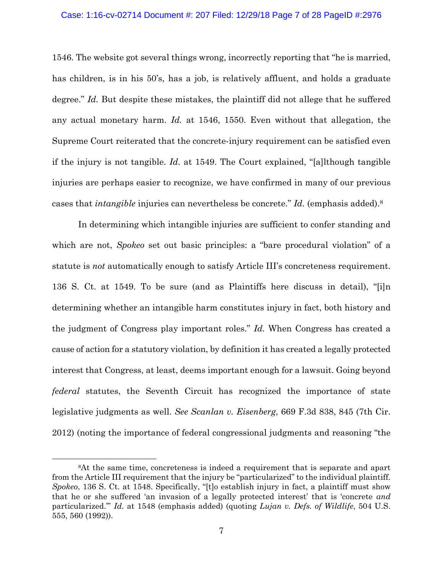### Case: 1:16-cv-02714 Document #: 207 Filed: 12/29/18 Page 7 of 28 PageID #:2976

1546. The website got several things wrong, incorrectly reporting that "he is married, has children, is in his 50's, has a job, is relatively affluent, and holds a graduate degree." *Id.* But despite these mistakes, the plaintiff did not allege that he suffered any actual monetary harm. *Id.* at 1546, 1550. Even without that allegation, the Supreme Court reiterated that the concrete-injury requirement can be satisfied even if the injury is not tangible. *Id.* at 1549. The Court explained, "[a]lthough tangible injuries are perhaps easier to recognize, we have confirmed in many of our previous cases that *intangible* injuries can nevertheless be concrete." *Id.* (emphasis added).8

 In determining which intangible injuries are sufficient to confer standing and which are not, *Spokeo* set out basic principles: a "bare procedural violation" of a statute is *not* automatically enough to satisfy Article III's concreteness requirement. 136 S. Ct. at 1549. To be sure (and as Plaintiffs here discuss in detail), "[i]n determining whether an intangible harm constitutes injury in fact, both history and the judgment of Congress play important roles." *Id.* When Congress has created a cause of action for a statutory violation, by definition it has created a legally protected interest that Congress, at least, deems important enough for a lawsuit. Going beyond *federal* statutes, the Seventh Circuit has recognized the importance of state legislative judgments as well. *See Scanlan v. Eisenberg*, 669 F.3d 838, 845 (7th Cir. 2012) (noting the importance of federal congressional judgments and reasoning "the

 <sup>8</sup>At the same time, concreteness is indeed a requirement that is separate and apart from the Article III requirement that the injury be "particularized" to the individual plaintiff. *Spokeo*, 136 S. Ct. at 1548. Specifically, "[t]o establish injury in fact, a plaintiff must show that he or she suffered 'an invasion of a legally protected interest' that is 'concrete *and*  particularized.'" *Id.* at 1548 (emphasis added) (quoting *Lujan v. Defs. of Wildlife*, 504 U.S. 555, 560 (1992)).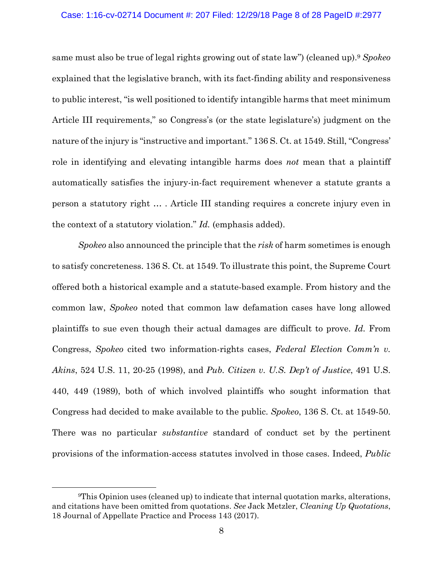### Case: 1:16-cv-02714 Document #: 207 Filed: 12/29/18 Page 8 of 28 PageID #:2977

same must also be true of legal rights growing out of state law") (cleaned up).9 *Spokeo* explained that the legislative branch, with its fact-finding ability and responsiveness to public interest, "is well positioned to identify intangible harms that meet minimum Article III requirements," so Congress's (or the state legislature's) judgment on the nature of the injury is "instructive and important." 136 S. Ct. at 1549. Still, "Congress' role in identifying and elevating intangible harms does *not* mean that a plaintiff automatically satisfies the injury-in-fact requirement whenever a statute grants a person a statutory right … . Article III standing requires a concrete injury even in the context of a statutory violation." *Id.* (emphasis added).

*Spokeo* also announced the principle that the *risk* of harm sometimes is enough to satisfy concreteness. 136 S. Ct. at 1549. To illustrate this point, the Supreme Court offered both a historical example and a statute-based example. From history and the common law, *Spokeo* noted that common law defamation cases have long allowed plaintiffs to sue even though their actual damages are difficult to prove. *Id.* From Congress, *Spokeo* cited two information-rights cases, *Federal Election Comm'n v. Akins*, 524 U.S. 11, 20-25 (1998), and *Pub. Citizen v. U.S. Dep't of Justice*, 491 U.S. 440, 449 (1989), both of which involved plaintiffs who sought information that Congress had decided to make available to the public. *Spokeo*, 136 S. Ct. at 1549-50. There was no particular *substantive* standard of conduct set by the pertinent provisions of the information-access statutes involved in those cases. Indeed, *Public* 

 <sup>9</sup>This Opinion uses (cleaned up) to indicate that internal quotation marks, alterations, and citations have been omitted from quotations. *See* Jack Metzler, *Cleaning Up Quotations*, 18 Journal of Appellate Practice and Process 143 (2017).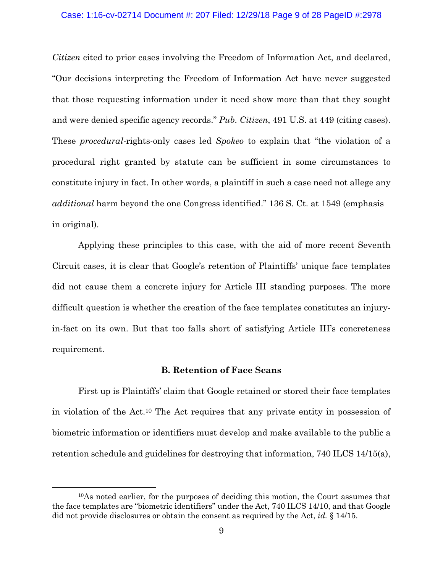#### Case: 1:16-cv-02714 Document #: 207 Filed: 12/29/18 Page 9 of 28 PageID #:2978

*Citizen* cited to prior cases involving the Freedom of Information Act, and declared, "Our decisions interpreting the Freedom of Information Act have never suggested that those requesting information under it need show more than that they sought and were denied specific agency records." *Pub. Citizen*, 491 U.S. at 449 (citing cases). These *procedural-*rights-only cases led *Spokeo* to explain that "the violation of a procedural right granted by statute can be sufficient in some circumstances to constitute injury in fact. In other words, a plaintiff in such a case need not allege any *additional* harm beyond the one Congress identified." 136 S. Ct. at 1549 (emphasis in original).

 Applying these principles to this case, with the aid of more recent Seventh Circuit cases, it is clear that Google's retention of Plaintiffs' unique face templates did not cause them a concrete injury for Article III standing purposes. The more difficult question is whether the creation of the face templates constitutes an injuryin-fact on its own. But that too falls short of satisfying Article III's concreteness requirement.

# **B. Retention of Face Scans**

 First up is Plaintiffs' claim that Google retained or stored their face templates in violation of the Act.10 The Act requires that any private entity in possession of biometric information or identifiers must develop and make available to the public a retention schedule and guidelines for destroying that information, 740 ILCS 14/15(a),

 <sup>10</sup>As noted earlier, for the purposes of deciding this motion, the Court assumes that the face templates are "biometric identifiers" under the Act, 740 ILCS 14/10, and that Google did not provide disclosures or obtain the consent as required by the Act, *id.* § 14/15.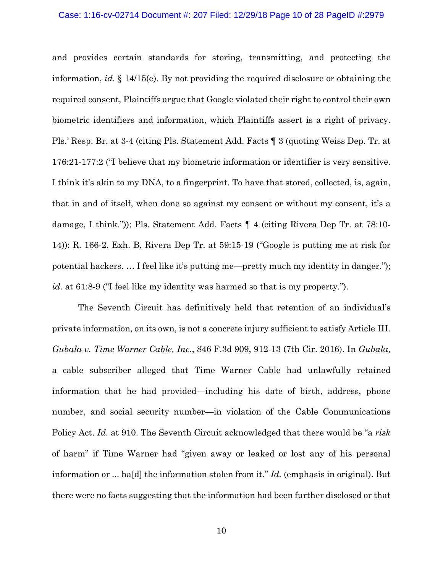#### Case: 1:16-cv-02714 Document #: 207 Filed: 12/29/18 Page 10 of 28 PageID #:2979

and provides certain standards for storing, transmitting, and protecting the information, *id.* § 14/15(e). By not providing the required disclosure or obtaining the required consent, Plaintiffs argue that Google violated their right to control their own biometric identifiers and information, which Plaintiffs assert is a right of privacy. Pls.' Resp. Br. at 3-4 (citing Pls. Statement Add. Facts ¶ 3 (quoting Weiss Dep. Tr. at 176:21-177:2 ("I believe that my biometric information or identifier is very sensitive. I think it's akin to my DNA, to a fingerprint. To have that stored, collected, is, again, that in and of itself, when done so against my consent or without my consent, it's a damage, I think.")); Pls. Statement Add. Facts ¶ 4 (citing Rivera Dep Tr. at 78:10- 14)); R. 166-2, Exh. B, Rivera Dep Tr. at 59:15-19 ("Google is putting me at risk for potential hackers. … I feel like it's putting me—pretty much my identity in danger."); *id.* at 61:8-9 ("I feel like my identity was harmed so that is my property.").

 The Seventh Circuit has definitively held that retention of an individual's private information, on its own, is not a concrete injury sufficient to satisfy Article III. *Gubala v. Time Warner Cable, Inc.*, 846 F.3d 909, 912-13 (7th Cir. 2016). In *Gubala*, a cable subscriber alleged that Time Warner Cable had unlawfully retained information that he had provided—including his date of birth, address, phone number, and social security number—in violation of the Cable Communications Policy Act. *Id.* at 910. The Seventh Circuit acknowledged that there would be "a *risk*  of harm" if Time Warner had "given away or leaked or lost any of his personal information or ... ha[d] the information stolen from it." *Id.* (emphasis in original). But there were no facts suggesting that the information had been further disclosed or that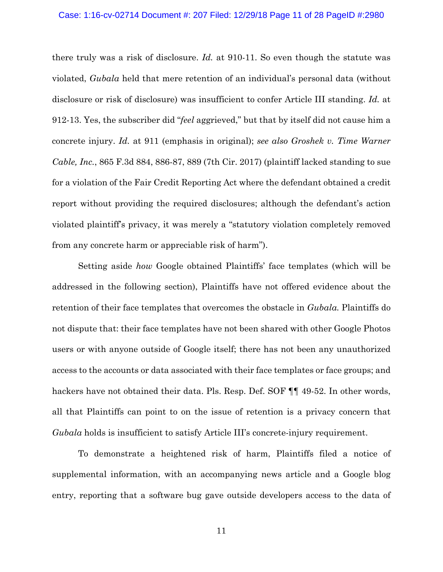#### Case: 1:16-cv-02714 Document #: 207 Filed: 12/29/18 Page 11 of 28 PageID #:2980

there truly was a risk of disclosure. *Id.* at 910-11. So even though the statute was violated, *Gubala* held that mere retention of an individual's personal data (without disclosure or risk of disclosure) was insufficient to confer Article III standing. *Id.* at 912-13. Yes, the subscriber did "*feel* aggrieved," but that by itself did not cause him a concrete injury. *Id.* at 911 (emphasis in original); *see also Groshek v. Time Warner Cable, Inc.*, 865 F.3d 884, 886-87, 889 (7th Cir. 2017) (plaintiff lacked standing to sue for a violation of the Fair Credit Reporting Act where the defendant obtained a credit report without providing the required disclosures; although the defendant's action violated plaintiff's privacy, it was merely a "statutory violation completely removed from any concrete harm or appreciable risk of harm").

 Setting aside *how* Google obtained Plaintiffs' face templates (which will be addressed in the following section), Plaintiffs have not offered evidence about the retention of their face templates that overcomes the obstacle in *Gubala.* Plaintiffs do not dispute that: their face templates have not been shared with other Google Photos users or with anyone outside of Google itself; there has not been any unauthorized access to the accounts or data associated with their face templates or face groups; and hackers have not obtained their data. Pls. Resp. Def. SOF ¶¶ 49-52. In other words, all that Plaintiffs can point to on the issue of retention is a privacy concern that *Gubala* holds is insufficient to satisfy Article III's concrete-injury requirement.

 To demonstrate a heightened risk of harm, Plaintiffs filed a notice of supplemental information, with an accompanying news article and a Google blog entry, reporting that a software bug gave outside developers access to the data of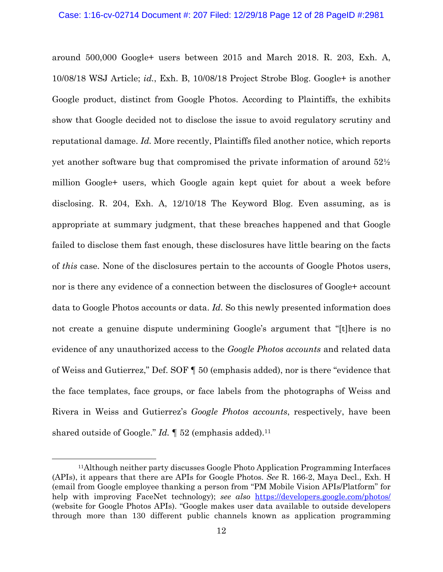## Case: 1:16-cv-02714 Document #: 207 Filed: 12/29/18 Page 12 of 28 PageID #:2981

around 500,000 Google+ users between 2015 and March 2018. R. 203, Exh. A, 10/08/18 WSJ Article; *id.*, Exh. B, 10/08/18 Project Strobe Blog. Google+ is another Google product, distinct from Google Photos. According to Plaintiffs, the exhibits show that Google decided not to disclose the issue to avoid regulatory scrutiny and reputational damage. *Id.* More recently, Plaintiffs filed another notice, which reports yet another software bug that compromised the private information of around 52½ million Google+ users, which Google again kept quiet for about a week before disclosing. R. 204, Exh. A, 12/10/18 The Keyword Blog. Even assuming, as is appropriate at summary judgment, that these breaches happened and that Google failed to disclose them fast enough, these disclosures have little bearing on the facts of *this* case. None of the disclosures pertain to the accounts of Google Photos users, nor is there any evidence of a connection between the disclosures of Google+ account data to Google Photos accounts or data. *Id.* So this newly presented information does not create a genuine dispute undermining Google's argument that "[t]here is no evidence of any unauthorized access to the *Google Photos accounts* and related data of Weiss and Gutierrez," Def. SOF ¶ 50 (emphasis added), nor is there "evidence that the face templates, face groups, or face labels from the photographs of Weiss and Rivera in Weiss and Gutierrez's *Google Photos accounts*, respectively, have been shared outside of Google." *Id.* 152 (emphasis added).<sup>11</sup>

 <sup>11</sup>Although neither party discusses Google Photo Application Programming Interfaces (APIs), it appears that there are APIs for Google Photos. *See* R. 166-2, Maya Decl., Exh. H (email from Google employee thanking a person from "PM Mobile Vision APIs/Platform" for help with improving FaceNet technology); *see also* https://developers.google.com/photos/ (website for Google Photos APIs). "Google makes user data available to outside developers through more than 130 different public channels known as application programming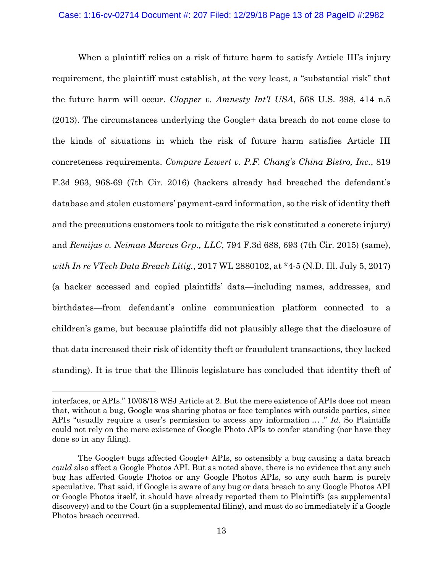When a plaintiff relies on a risk of future harm to satisfy Article III's injury requirement, the plaintiff must establish, at the very least, a "substantial risk" that the future harm will occur. *Clapper v. Amnesty Int'l USA*, 568 U.S. 398, 414 n.5 (2013). The circumstances underlying the Google+ data breach do not come close to the kinds of situations in which the risk of future harm satisfies Article III concreteness requirements. *Compare Lewert v. P.F. Chang's China Bistro, Inc.*, 819 F.3d 963, 968-69 (7th Cir. 2016) (hackers already had breached the defendant's database and stolen customers' payment-card information, so the risk of identity theft and the precautions customers took to mitigate the risk constituted a concrete injury) and *Remijas v. Neiman Marcus Grp., LLC*, 794 F.3d 688, 693 (7th Cir. 2015) (same), *with In re VTech Data Breach Litig.*, 2017 WL 2880102, at \*4-5 (N.D. Ill. July 5, 2017) (a hacker accessed and copied plaintiffs' data—including names, addresses, and birthdates—from defendant's online communication platform connected to a children's game, but because plaintiffs did not plausibly allege that the disclosure of that data increased their risk of identity theft or fraudulent transactions, they lacked standing). It is true that the Illinois legislature has concluded that identity theft of

 $\overline{a}$ 

interfaces, or APIs." 10/08/18 WSJ Article at 2. But the mere existence of APIs does not mean that, without a bug, Google was sharing photos or face templates with outside parties, since APIs "usually require a user's permission to access any information … ." *Id.* So Plaintiffs could not rely on the mere existence of Google Photo APIs to confer standing (nor have they done so in any filing).

The Google+ bugs affected Google+ APIs, so ostensibly a bug causing a data breach *could* also affect a Google Photos API. But as noted above, there is no evidence that any such bug has affected Google Photos or any Google Photos APIs, so any such harm is purely speculative. That said, if Google is aware of any bug or data breach to any Google Photos API or Google Photos itself, it should have already reported them to Plaintiffs (as supplemental discovery) and to the Court (in a supplemental filing), and must do so immediately if a Google Photos breach occurred.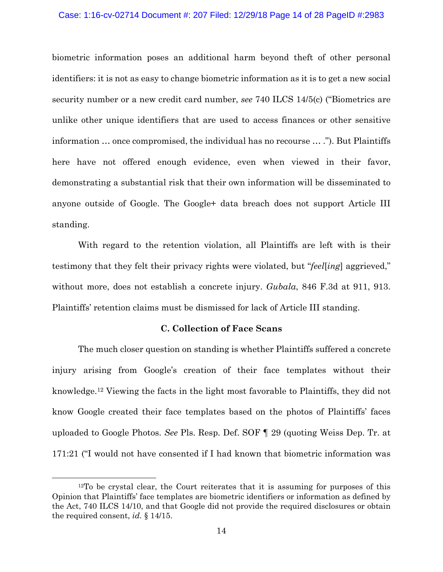### Case: 1:16-cv-02714 Document #: 207 Filed: 12/29/18 Page 14 of 28 PageID #:2983

biometric information poses an additional harm beyond theft of other personal identifiers: it is not as easy to change biometric information as it is to get a new social security number or a new credit card number, *see* 740 ILCS 14/5(c) ("Biometrics are unlike other unique identifiers that are used to access finances or other sensitive information … once compromised, the individual has no recourse … ."). But Plaintiffs here have not offered enough evidence, even when viewed in their favor, demonstrating a substantial risk that their own information will be disseminated to anyone outside of Google. The Google+ data breach does not support Article III standing.

 With regard to the retention violation, all Plaintiffs are left with is their testimony that they felt their privacy rights were violated, but "*feel*[*ing*] aggrieved," without more, does not establish a concrete injury. *Gubala*, 846 F.3d at 911, 913. Plaintiffs' retention claims must be dismissed for lack of Article III standing.

## **C. Collection of Face Scans**

 The much closer question on standing is whether Plaintiffs suffered a concrete injury arising from Google's creation of their face templates without their knowledge.12 Viewing the facts in the light most favorable to Plaintiffs, they did not know Google created their face templates based on the photos of Plaintiffs' faces uploaded to Google Photos. *See* Pls. Resp. Def. SOF ¶ 29 (quoting Weiss Dep. Tr. at 171:21 ("I would not have consented if I had known that biometric information was

 <sup>12</sup>To be crystal clear, the Court reiterates that it is assuming for purposes of this Opinion that Plaintiffs' face templates are biometric identifiers or information as defined by the Act, 740 ILCS 14/10, and that Google did not provide the required disclosures or obtain the required consent, *id.* § 14/15.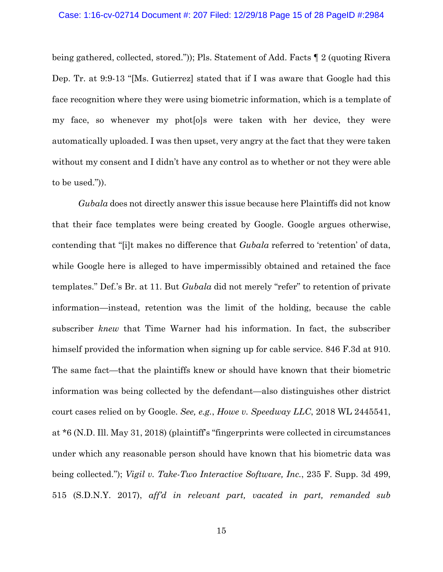being gathered, collected, stored.")); Pls. Statement of Add. Facts ¶ 2 (quoting Rivera Dep. Tr. at 9:9-13 "[Ms. Gutierrez] stated that if I was aware that Google had this face recognition where they were using biometric information, which is a template of my face, so whenever my phot[o]s were taken with her device, they were automatically uploaded. I was then upset, very angry at the fact that they were taken without my consent and I didn't have any control as to whether or not they were able to be used.")).

*Gubala* does not directly answer this issue because here Plaintiffs did not know that their face templates were being created by Google. Google argues otherwise, contending that "[i]t makes no difference that *Gubala* referred to 'retention' of data, while Google here is alleged to have impermissibly obtained and retained the face templates." Def.'s Br. at 11. But *Gubala* did not merely "refer" to retention of private information—instead, retention was the limit of the holding, because the cable subscriber *knew* that Time Warner had his information. In fact, the subscriber himself provided the information when signing up for cable service. 846 F.3d at 910. The same fact—that the plaintiffs knew or should have known that their biometric information was being collected by the defendant—also distinguishes other district court cases relied on by Google. *See, e.g.*, *Howe v. Speedway LLC*, 2018 WL 2445541, at \*6 (N.D. Ill. May 31, 2018) (plaintiff's "fingerprints were collected in circumstances under which any reasonable person should have known that his biometric data was being collected."); *Vigil v. Take-Two Interactive Software, Inc.*, 235 F. Supp. 3d 499, 515 (S.D.N.Y. 2017), *aff'd in relevant part, vacated in part, remanded sub*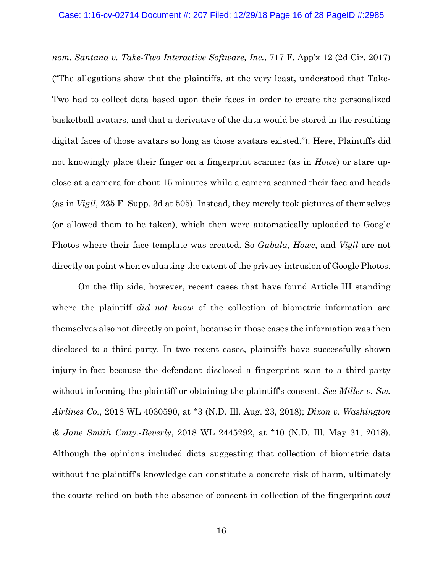*nom. Santana v. Take-Two Interactive Software, Inc.*, 717 F. App'x 12 (2d Cir. 2017) ("The allegations show that the plaintiffs, at the very least, understood that Take-Two had to collect data based upon their faces in order to create the personalized basketball avatars, and that a derivative of the data would be stored in the resulting digital faces of those avatars so long as those avatars existed."). Here, Plaintiffs did not knowingly place their finger on a fingerprint scanner (as in *Howe*) or stare upclose at a camera for about 15 minutes while a camera scanned their face and heads (as in *Vigil*, 235 F. Supp. 3d at 505). Instead, they merely took pictures of themselves (or allowed them to be taken), which then were automatically uploaded to Google Photos where their face template was created. So *Gubala*, *Howe*, and *Vigil* are not directly on point when evaluating the extent of the privacy intrusion of Google Photos.

 On the flip side, however, recent cases that have found Article III standing where the plaintiff *did not know* of the collection of biometric information are themselves also not directly on point, because in those cases the information was then disclosed to a third-party. In two recent cases, plaintiffs have successfully shown injury-in-fact because the defendant disclosed a fingerprint scan to a third-party without informing the plaintiff or obtaining the plaintiff's consent. *See Miller v. Sw. Airlines Co.*, 2018 WL 4030590, at \*3 (N.D. Ill. Aug. 23, 2018); *Dixon v. Washington & Jane Smith Cmty.-Beverly*, 2018 WL 2445292, at \*10 (N.D. Ill. May 31, 2018). Although the opinions included dicta suggesting that collection of biometric data without the plaintiff's knowledge can constitute a concrete risk of harm, ultimately the courts relied on both the absence of consent in collection of the fingerprint *and*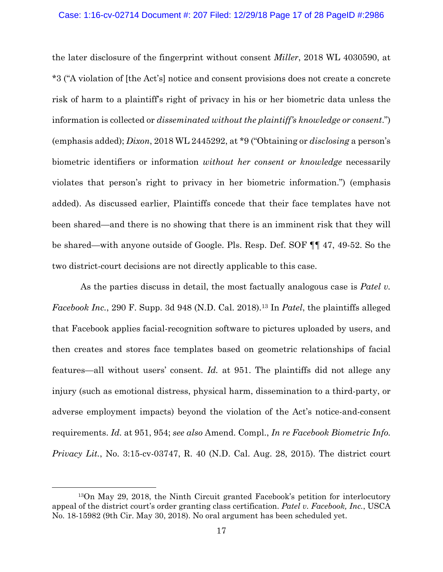the later disclosure of the fingerprint without consent *Miller*, 2018 WL 4030590, at \*3 ("A violation of [the Act's] notice and consent provisions does not create a concrete risk of harm to a plaintiff's right of privacy in his or her biometric data unless the information is collected or *disseminated without the plaintiff's knowledge or consent*.") (emphasis added); *Dixon*, 2018 WL 2445292, at \*9 ("Obtaining or *disclosing* a person's biometric identifiers or information *without her consent or knowledge* necessarily violates that person's right to privacy in her biometric information.") (emphasis added). As discussed earlier, Plaintiffs concede that their face templates have not been shared—and there is no showing that there is an imminent risk that they will be shared—with anyone outside of Google. Pls. Resp. Def. SOF ¶¶ 47, 49-52. So the two district-court decisions are not directly applicable to this case.

 As the parties discuss in detail, the most factually analogous case is *Patel v. Facebook Inc.*, 290 F. Supp. 3d 948 (N.D. Cal. 2018).13 In *Patel*, the plaintiffs alleged that Facebook applies facial-recognition software to pictures uploaded by users, and then creates and stores face templates based on geometric relationships of facial features—all without users' consent. *Id.* at 951. The plaintiffs did not allege any injury (such as emotional distress, physical harm, dissemination to a third-party, or adverse employment impacts) beyond the violation of the Act's notice-and-consent requirements. *Id.* at 951, 954; *see also* Amend. Compl., *In re Facebook Biometric Info. Privacy Lit.*, No. 3:15-cv-03747, R. 40 (N.D. Cal. Aug. 28, 2015). The district court

 <sup>13</sup>On May 29, 2018, the Ninth Circuit granted Facebook's petition for interlocutory appeal of the district court's order granting class certification. *Patel v. Facebook, Inc.*, USCA No. 18-15982 (9th Cir. May 30, 2018). No oral argument has been scheduled yet.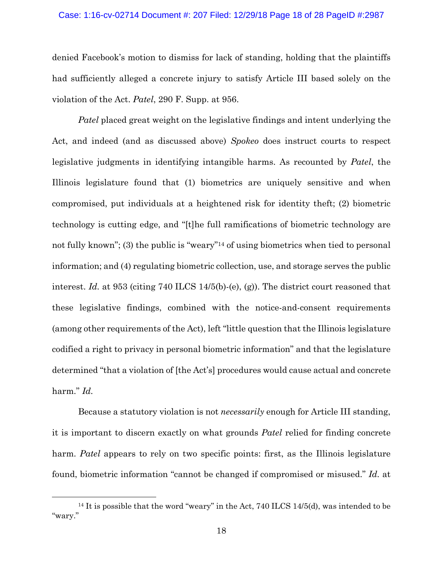#### Case: 1:16-cv-02714 Document #: 207 Filed: 12/29/18 Page 18 of 28 PageID #:2987

denied Facebook's motion to dismiss for lack of standing, holding that the plaintiffs had sufficiently alleged a concrete injury to satisfy Article III based solely on the violation of the Act. *Patel*, 290 F. Supp. at 956.

*Patel* placed great weight on the legislative findings and intent underlying the Act, and indeed (and as discussed above) *Spokeo* does instruct courts to respect legislative judgments in identifying intangible harms. As recounted by *Patel*, the Illinois legislature found that (1) biometrics are uniquely sensitive and when compromised, put individuals at a heightened risk for identity theft; (2) biometric technology is cutting edge, and "[t]he full ramifications of biometric technology are not fully known"; (3) the public is "weary"14 of using biometrics when tied to personal information; and (4) regulating biometric collection, use, and storage serves the public interest. *Id.* at 953 (citing 740 ILCS 14/5(b)-(e), (g)). The district court reasoned that these legislative findings, combined with the notice-and-consent requirements (among other requirements of the Act), left "little question that the Illinois legislature codified a right to privacy in personal biometric information" and that the legislature determined "that a violation of [the Act's] procedures would cause actual and concrete harm." *Id.* 

Because a statutory violation is not *necessarily* enough for Article III standing, it is important to discern exactly on what grounds *Patel* relied for finding concrete harm. *Patel* appears to rely on two specific points: first, as the Illinois legislature found, biometric information "cannot be changed if compromised or misused." *Id.* at

<sup>&</sup>lt;sup>14</sup> It is possible that the word "weary" in the Act, 740 ILCS 14/5(d), was intended to be "wary."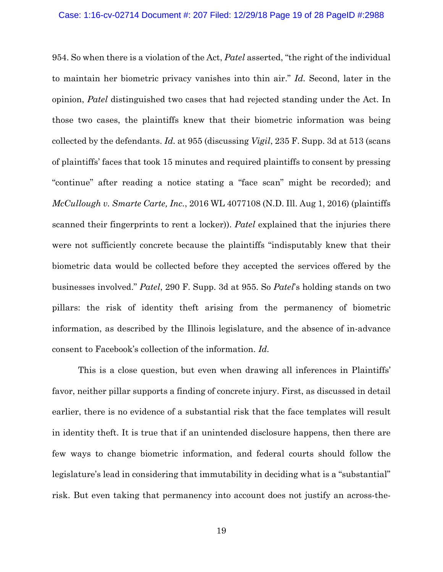954. So when there is a violation of the Act, *Patel* asserted, "the right of the individual to maintain her biometric privacy vanishes into thin air." *Id.* Second, later in the opinion, *Patel* distinguished two cases that had rejected standing under the Act. In those two cases, the plaintiffs knew that their biometric information was being collected by the defendants. *Id.* at 955 (discussing *Vigil*, 235 F. Supp. 3d at 513 (scans of plaintiffs' faces that took 15 minutes and required plaintiffs to consent by pressing "continue" after reading a notice stating a "face scan" might be recorded); and *McCullough v. Smarte Carte, Inc.*, 2016 WL 4077108 (N.D. Ill. Aug 1, 2016) (plaintiffs scanned their fingerprints to rent a locker)). *Patel* explained that the injuries there were not sufficiently concrete because the plaintiffs "indisputably knew that their biometric data would be collected before they accepted the services offered by the businesses involved." *Patel*, 290 F. Supp. 3d at 955. So *Patel*'s holding stands on two pillars: the risk of identity theft arising from the permanency of biometric information, as described by the Illinois legislature, and the absence of in-advance consent to Facebook's collection of the information. *Id.*

 This is a close question, but even when drawing all inferences in Plaintiffs' favor, neither pillar supports a finding of concrete injury. First, as discussed in detail earlier, there is no evidence of a substantial risk that the face templates will result in identity theft. It is true that if an unintended disclosure happens, then there are few ways to change biometric information, and federal courts should follow the legislature's lead in considering that immutability in deciding what is a "substantial" risk. But even taking that permanency into account does not justify an across-the-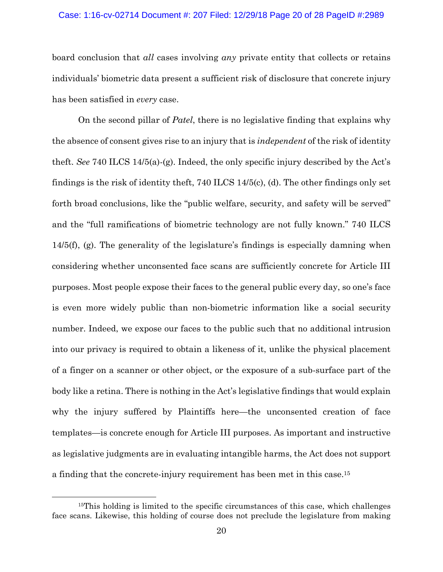#### Case: 1:16-cv-02714 Document #: 207 Filed: 12/29/18 Page 20 of 28 PageID #:2989

board conclusion that *all* cases involving *any* private entity that collects or retains individuals' biometric data present a sufficient risk of disclosure that concrete injury has been satisfied in *every* case.

On the second pillar of *Patel*, there is no legislative finding that explains why the absence of consent gives rise to an injury that is *independent* of the risk of identity theft. *See* 740 ILCS 14/5(a)-(g). Indeed, the only specific injury described by the Act's findings is the risk of identity theft, 740 ILCS 14/5(c), (d). The other findings only set forth broad conclusions, like the "public welfare, security, and safety will be served" and the "full ramifications of biometric technology are not fully known." 740 ILCS 14/5(f), (g). The generality of the legislature's findings is especially damning when considering whether unconsented face scans are sufficiently concrete for Article III purposes. Most people expose their faces to the general public every day, so one's face is even more widely public than non-biometric information like a social security number. Indeed, we expose our faces to the public such that no additional intrusion into our privacy is required to obtain a likeness of it, unlike the physical placement of a finger on a scanner or other object, or the exposure of a sub-surface part of the body like a retina. There is nothing in the Act's legislative findings that would explain why the injury suffered by Plaintiffs here—the unconsented creation of face templates—is concrete enough for Article III purposes. As important and instructive as legislative judgments are in evaluating intangible harms, the Act does not support a finding that the concrete-injury requirement has been met in this case.15

<sup>&</sup>lt;sup>15</sup>This holding is limited to the specific circumstances of this case, which challenges face scans. Likewise, this holding of course does not preclude the legislature from making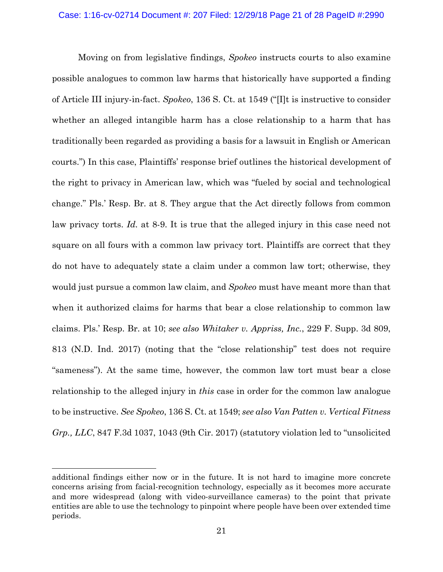Moving on from legislative findings, *Spokeo* instructs courts to also examine possible analogues to common law harms that historically have supported a finding of Article III injury-in-fact. *Spokeo*, 136 S. Ct. at 1549 ("[I]t is instructive to consider whether an alleged intangible harm has a close relationship to a harm that has traditionally been regarded as providing a basis for a lawsuit in English or American courts.") In this case, Plaintiffs' response brief outlines the historical development of the right to privacy in American law, which was "fueled by social and technological change." Pls.' Resp. Br. at 8. They argue that the Act directly follows from common law privacy torts. *Id.* at 8-9. It is true that the alleged injury in this case need not square on all fours with a common law privacy tort. Plaintiffs are correct that they do not have to adequately state a claim under a common law tort; otherwise, they would just pursue a common law claim, and *Spokeo* must have meant more than that when it authorized claims for harms that bear a close relationship to common law claims. Pls.' Resp. Br. at 10; *see also Whitaker v. Appriss, Inc.*, 229 F. Supp. 3d 809, 813 (N.D. Ind. 2017) (noting that the "close relationship" test does not require "sameness"). At the same time, however, the common law tort must bear a close relationship to the alleged injury in *this* case in order for the common law analogue to be instructive. *See Spokeo*, 136 S. Ct. at 1549; *see also Van Patten v. Vertical Fitness Grp., LLC*, 847 F.3d 1037, 1043 (9th Cir. 2017) (statutory violation led to "unsolicited

 $\overline{a}$ 

additional findings either now or in the future. It is not hard to imagine more concrete concerns arising from facial-recognition technology, especially as it becomes more accurate and more widespread (along with video-surveillance cameras) to the point that private entities are able to use the technology to pinpoint where people have been over extended time periods.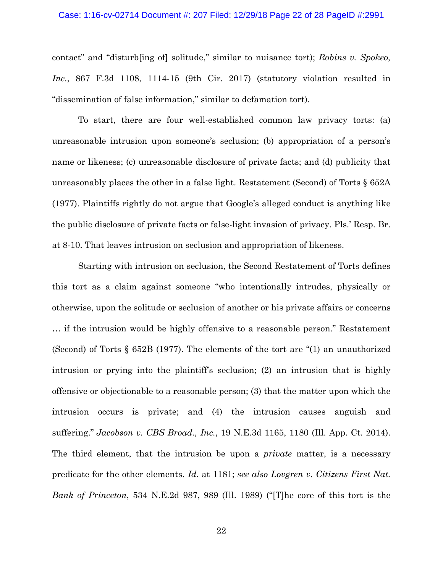#### Case: 1:16-cv-02714 Document #: 207 Filed: 12/29/18 Page 22 of 28 PageID #:2991

contact" and "disturb[ing of] solitude," similar to nuisance tort); *Robins v. Spokeo, Inc.*, 867 F.3d 1108, 1114-15 (9th Cir. 2017) (statutory violation resulted in "dissemination of false information," similar to defamation tort).

 To start, there are four well-established common law privacy torts: (a) unreasonable intrusion upon someone's seclusion; (b) appropriation of a person's name or likeness; (c) unreasonable disclosure of private facts; and (d) publicity that unreasonably places the other in a false light. Restatement (Second) of Torts § 652A (1977). Plaintiffs rightly do not argue that Google's alleged conduct is anything like the public disclosure of private facts or false-light invasion of privacy. Pls.' Resp. Br. at 8-10. That leaves intrusion on seclusion and appropriation of likeness.

 Starting with intrusion on seclusion, the Second Restatement of Torts defines this tort as a claim against someone "who intentionally intrudes, physically or otherwise, upon the solitude or seclusion of another or his private affairs or concerns … if the intrusion would be highly offensive to a reasonable person." Restatement (Second) of Torts § 652B (1977). The elements of the tort are "(1) an unauthorized intrusion or prying into the plaintiff's seclusion; (2) an intrusion that is highly offensive or objectionable to a reasonable person; (3) that the matter upon which the intrusion occurs is private; and (4) the intrusion causes anguish and suffering." *Jacobson v. CBS Broad., Inc.*, 19 N.E.3d 1165, 1180 (Ill. App. Ct. 2014). The third element, that the intrusion be upon a *private* matter, is a necessary predicate for the other elements. *Id.* at 1181; *see also Lovgren v. Citizens First Nat. Bank of Princeton*, 534 N.E.2d 987, 989 (Ill. 1989) ("[T]he core of this tort is the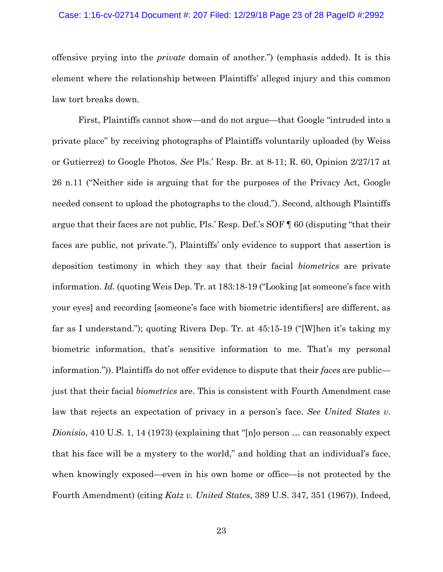#### Case: 1:16-cv-02714 Document #: 207 Filed: 12/29/18 Page 23 of 28 PageID #:2992

offensive prying into the *private* domain of another.") (emphasis added). It is this element where the relationship between Plaintiffs' alleged injury and this common law tort breaks down.

 First, Plaintiffs cannot show—and do not argue—that Google "intruded into a private place" by receiving photographs of Plaintiffs voluntarily uploaded (by Weiss or Gutierrez) to Google Photos. *See* Pls.' Resp. Br. at 8-11; R. 60, Opinion 2/27/17 at 26 n.11 ("Neither side is arguing that for the purposes of the Privacy Act, Google needed consent to upload the photographs to the cloud."). Second, although Plaintiffs argue that their faces are not public, Pls.' Resp. Def.'s SOF ¶ 60 (disputing "that their faces are public, not private."), Plaintiffs' only evidence to support that assertion is deposition testimony in which they say that their facial *biometrics* are private information. *Id.* (quoting Weis Dep. Tr. at 183:18-19 ("Looking [at someone's face with your eyes] and recording [someone's face with biometric identifiers] are different, as far as I understand."); quoting Rivera Dep. Tr. at 45:15-19 ("[W]hen it's taking my biometric information, that's sensitive information to me. That's my personal information.")). Plaintiffs do not offer evidence to dispute that their *faces* are public just that their facial *biometrics* are. This is consistent with Fourth Amendment case law that rejects an expectation of privacy in a person's face. *See United States v. Dionisio*, 410 U.S. 1, 14 (1973) (explaining that "[n]o person … can reasonably expect that his face will be a mystery to the world," and holding that an individual's face, when knowingly exposed—even in his own home or office—is not protected by the Fourth Amendment) (citing *Katz v. United States*, 389 U.S. 347, 351 (1967)). Indeed,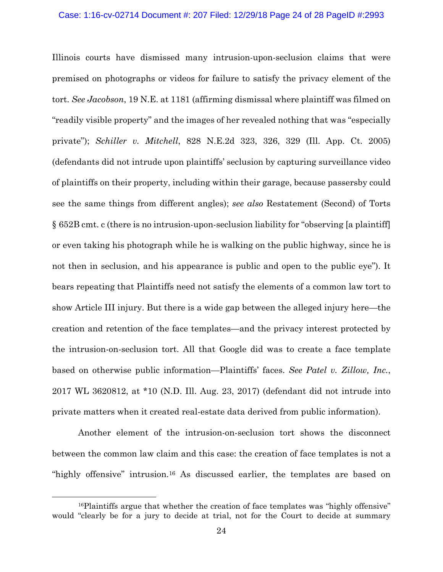### Case: 1:16-cv-02714 Document #: 207 Filed: 12/29/18 Page 24 of 28 PageID #:2993

Illinois courts have dismissed many intrusion-upon-seclusion claims that were premised on photographs or videos for failure to satisfy the privacy element of the tort. *See Jacobson*, 19 N.E. at 1181 (affirming dismissal where plaintiff was filmed on "readily visible property" and the images of her revealed nothing that was "especially private"); *Schiller v. Mitchell*, 828 N.E.2d 323, 326, 329 (Ill. App. Ct. 2005) (defendants did not intrude upon plaintiffs' seclusion by capturing surveillance video of plaintiffs on their property, including within their garage, because passersby could see the same things from different angles); *see also* Restatement (Second) of Torts § 652B cmt. c (there is no intrusion-upon-seclusion liability for "observing [a plaintiff] or even taking his photograph while he is walking on the public highway, since he is not then in seclusion, and his appearance is public and open to the public eye"). It bears repeating that Plaintiffs need not satisfy the elements of a common law tort to show Article III injury. But there is a wide gap between the alleged injury here—the creation and retention of the face templates—and the privacy interest protected by the intrusion-on-seclusion tort. All that Google did was to create a face template based on otherwise public information—Plaintiffs' faces. *See Patel v. Zillow, Inc.*, 2017 WL 3620812, at \*10 (N.D. Ill. Aug. 23, 2017) (defendant did not intrude into private matters when it created real-estate data derived from public information).

 Another element of the intrusion-on-seclusion tort shows the disconnect between the common law claim and this case: the creation of face templates is not a "highly offensive" intrusion.<sup>16</sup> As discussed earlier, the templates are based on

<sup>&</sup>lt;sup>16</sup>Plaintiffs argue that whether the creation of face templates was "highly offensive" would "clearly be for a jury to decide at trial, not for the Court to decide at summary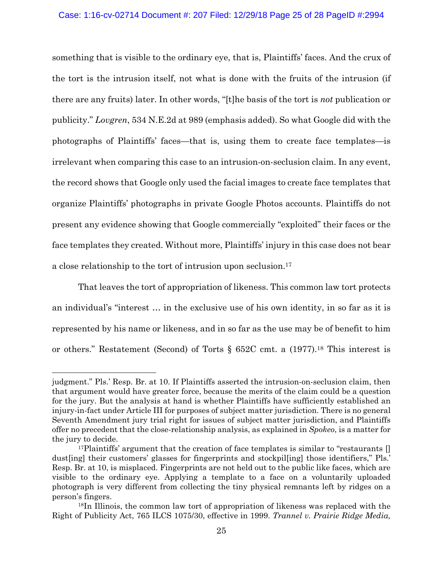## Case: 1:16-cv-02714 Document #: 207 Filed: 12/29/18 Page 25 of 28 PageID #:2994

something that is visible to the ordinary eye, that is, Plaintiffs' faces. And the crux of the tort is the intrusion itself, not what is done with the fruits of the intrusion (if there are any fruits) later. In other words, "[t]he basis of the tort is *not* publication or publicity." *Lovgren*, 534 N.E.2d at 989 (emphasis added). So what Google did with the photographs of Plaintiffs' faces—that is, using them to create face templates—is irrelevant when comparing this case to an intrusion-on-seclusion claim. In any event, the record shows that Google only used the facial images to create face templates that organize Plaintiffs' photographs in private Google Photos accounts. Plaintiffs do not present any evidence showing that Google commercially "exploited" their faces or the face templates they created. Without more, Plaintiffs' injury in this case does not bear a close relationship to the tort of intrusion upon seclusion.17

 That leaves the tort of appropriation of likeness. This common law tort protects an individual's "interest … in the exclusive use of his own identity, in so far as it is represented by his name or likeness, and in so far as the use may be of benefit to him or others." Restatement (Second) of Torts § 652C cmt. a (1977).18 This interest is

 $\overline{a}$ 

judgment." Pls.' Resp. Br. at 10. If Plaintiffs asserted the intrusion-on-seclusion claim, then that argument would have greater force, because the merits of the claim could be a question for the jury. But the analysis at hand is whether Plaintiffs have sufficiently established an injury-in-fact under Article III for purposes of subject matter jurisdiction. There is no general Seventh Amendment jury trial right for issues of subject matter jurisdiction, and Plaintiffs offer no precedent that the close-relationship analysis, as explained in *Spokeo*, is a matter for the jury to decide.

<sup>&</sup>lt;sup>17</sup>Plaintiffs' argument that the creation of face templates is similar to "restaurants  $\left[\right]$ dust[ing] their customers' glasses for fingerprints and stockpil[ing] those identifiers," Pls.' Resp. Br. at 10, is misplaced. Fingerprints are not held out to the public like faces, which are visible to the ordinary eye. Applying a template to a face on a voluntarily uploaded photograph is very different from collecting the tiny physical remnants left by ridges on a person's fingers.

<sup>18</sup>In Illinois, the common law tort of appropriation of likeness was replaced with the Right of Publicity Act, 765 ILCS 1075/30, effective in 1999. *Trannel v. Prairie Ridge Media,*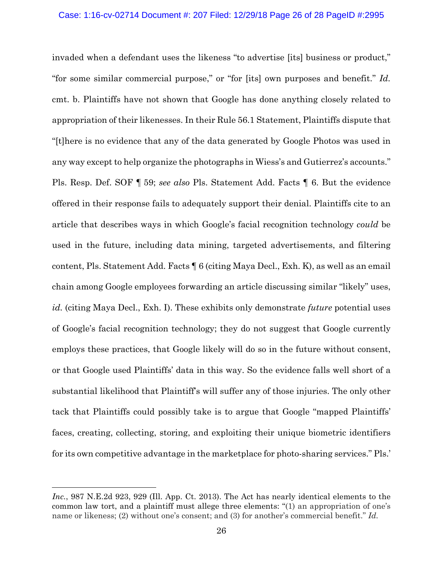invaded when a defendant uses the likeness "to advertise [its] business or product," "for some similar commercial purpose," or "for [its] own purposes and benefit." *Id.* cmt. b. Plaintiffs have not shown that Google has done anything closely related to appropriation of their likenesses. In their Rule 56.1 Statement, Plaintiffs dispute that "[t]here is no evidence that any of the data generated by Google Photos was used in any way except to help organize the photographs in Wiess's and Gutierrez's accounts." Pls. Resp. Def. SOF ¶ 59; *see also* Pls. Statement Add. Facts ¶ 6. But the evidence offered in their response fails to adequately support their denial. Plaintiffs cite to an article that describes ways in which Google's facial recognition technology *could* be used in the future, including data mining, targeted advertisements, and filtering content, Pls. Statement Add. Facts ¶ 6 (citing Maya Decl., Exh. K), as well as an email chain among Google employees forwarding an article discussing similar "likely" uses, *id.* (citing Maya Decl., Exh. I). These exhibits only demonstrate *future* potential uses of Google's facial recognition technology; they do not suggest that Google currently employs these practices, that Google likely will do so in the future without consent, or that Google used Plaintiffs' data in this way. So the evidence falls well short of a substantial likelihood that Plaintiff's will suffer any of those injuries. The only other tack that Plaintiffs could possibly take is to argue that Google "mapped Plaintiffs' faces, creating, collecting, storing, and exploiting their unique biometric identifiers for its own competitive advantage in the marketplace for photo-sharing services." Pls.'

 $\overline{a}$ 

Inc., 987 N.E.2d 923, 929 (Ill. App. Ct. 2013). The Act has nearly identical elements to the common law tort, and a plaintiff must allege three elements: "(1) an appropriation of one's name or likeness; (2) without one's consent; and (3) for another's commercial benefit." *Id.*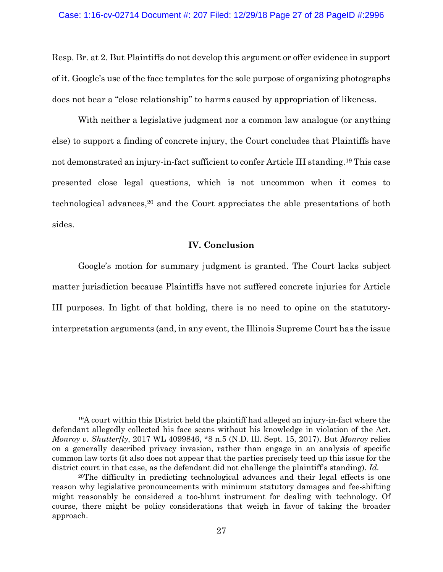Resp. Br. at 2. But Plaintiffs do not develop this argument or offer evidence in support of it. Google's use of the face templates for the sole purpose of organizing photographs does not bear a "close relationship" to harms caused by appropriation of likeness.

With neither a legislative judgment nor a common law analogue (or anything else) to support a finding of concrete injury, the Court concludes that Plaintiffs have not demonstrated an injury-in-fact sufficient to confer Article III standing.19 This case presented close legal questions, which is not uncommon when it comes to technological advances,20 and the Court appreciates the able presentations of both sides.

## **IV. Conclusion**

Google's motion for summary judgment is granted. The Court lacks subject matter jurisdiction because Plaintiffs have not suffered concrete injuries for Article III purposes. In light of that holding, there is no need to opine on the statutoryinterpretation arguments (and, in any event, the Illinois Supreme Court has the issue

 <sup>19</sup>A court within this District held the plaintiff had alleged an injury-in-fact where the defendant allegedly collected his face scans without his knowledge in violation of the Act. *Monroy v. Shutterfly*, 2017 WL 4099846, \*8 n.5 (N.D. Ill. Sept. 15, 2017). But *Monroy* relies on a generally described privacy invasion, rather than engage in an analysis of specific common law torts (it also does not appear that the parties precisely teed up this issue for the district court in that case, as the defendant did not challenge the plaintiff's standing). *Id.*

<sup>20</sup>The difficulty in predicting technological advances and their legal effects is one reason why legislative pronouncements with minimum statutory damages and fee-shifting might reasonably be considered a too-blunt instrument for dealing with technology. Of course, there might be policy considerations that weigh in favor of taking the broader approach.